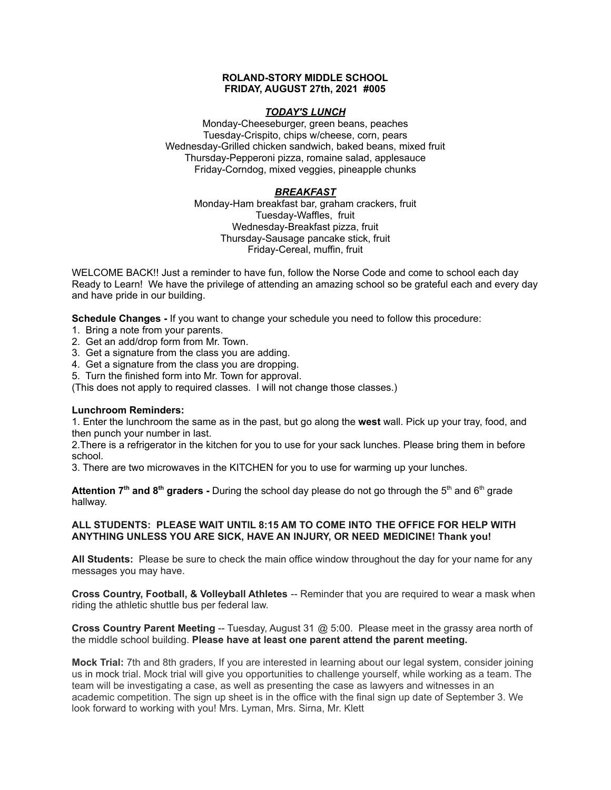### **ROLAND-STORY MIDDLE SCHOOL FRIDAY, AUGUST 27th, 2021 #005**

## *TODAY'S LUNCH*

Monday-Cheeseburger, green beans, peaches Tuesday-Crispito, chips w/cheese, corn, pears Wednesday-Grilled chicken sandwich, baked beans, mixed fruit Thursday-Pepperoni pizza, romaine salad, applesauce Friday-Corndog, mixed veggies, pineapple chunks

## *BREAKFAST*

Monday-Ham breakfast bar, graham crackers, fruit Tuesday-Waffles, fruit Wednesday-Breakfast pizza, fruit Thursday-Sausage pancake stick, fruit Friday-Cereal, muffin, fruit

WELCOME BACK!! Just a reminder to have fun, follow the Norse Code and come to school each day Ready to Learn! We have the privilege of attending an amazing school so be grateful each and every day and have pride in our building.

**Schedule Changes -** If you want to change your schedule you need to follow this procedure:

- 1. Bring a note from your parents.
- 2. Get an add/drop form from Mr. Town.
- 3. Get a signature from the class you are adding.
- 4. Get a signature from the class you are dropping.
- 5. Turn the finished form into Mr. Town for approval.

(This does not apply to required classes. I will not change those classes.)

### **Lunchroom Reminders:**

1. Enter the lunchroom the same as in the past, but go along the **west** wall. Pick up your tray, food, and then punch your number in last.

2.There is a refrigerator in the kitchen for you to use for your sack lunches. Please bring them in before school.

3. There are two microwaves in the KITCHEN for you to use for warming up your lunches.

**Attention 7<sup>th</sup> and 8<sup>th</sup> graders - During the school day please do not go through the 5<sup>th</sup> and 6<sup>th</sup> grade** hallway.

## **ALL STUDENTS: PLEASE WAIT UNTIL 8:15 AM TO COME INTO THE OFFICE FOR HELP WITH ANYTHING UNLESS YOU ARE SICK, HAVE AN INJURY, OR NEED MEDICINE! Thank you!**

**All Students:** Please be sure to check the main office window throughout the day for your name for any messages you may have.

**Cross Country, Football, & Volleyball Athletes** -- Reminder that you are required to wear a mask when riding the athletic shuttle bus per federal law.

**Cross Country Parent Meeting** -- Tuesday, August 31 @ 5:00. Please meet in the grassy area north of the middle school building. **Please have at least one parent attend the parent meeting.**

**Mock Trial:** 7th and 8th graders, If you are interested in learning about our legal system, consider joining us in mock trial. Mock trial will give you opportunities to challenge yourself, while working as a team. The team will be investigating a case, as well as presenting the case as lawyers and witnesses in an academic competition. The sign up sheet is in the office with the final sign up date of September 3. We look forward to working with you! Mrs. Lyman, Mrs. Sirna, Mr. Klett